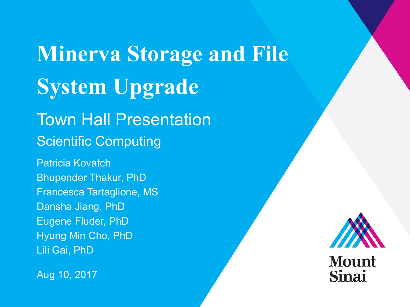# **Minerva Storage and File System Upgrade** Town Hall Presentation Scientific Computing

Patricia Kovatch Bhupender Thakur, PhD Francesca Tartaglione, MS Dansha Jiang, PhD Eugene Fluder, PhD Hyung Min Cho, PhD Lili Gai, PhD

Aug 10, 2017

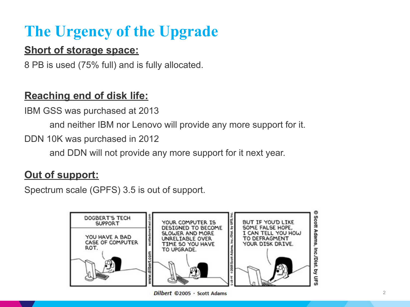# **The Urgency of the Upgrade**

#### **Short of storage space:**

8 PB is used (75% full) and is fully allocated.

### **Reaching end of disk life:**

IBM GSS was purchased at 2013

and neither IBM nor Lenovo will provide any more support for it.

DDN 10K was purchased in 2012

and DDN will not provide any more support for it next year.

### **Out of support:**

Spectrum scale (GPFS) 3.5 is out of support.



Dilbert ©2005 · Scott Adams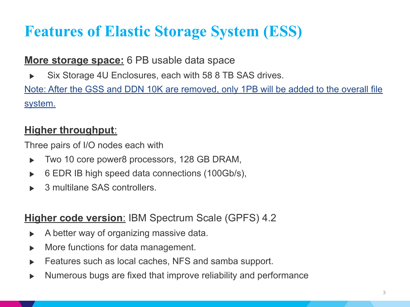# **Features of Elastic Storage System (ESS)**

#### **More storage space:** 6 PB usable data space

▶ Six Storage 4U Enclosures, each with 58 8 TB SAS drives.

Note: After the GSS and DDN 10K are removed, only 1PB will be added to the overall file system.

### **Higher throughput**:

Three pairs of I/O nodes each with

- ▶ Two 10 core power8 processors, 128 GB DRAM,
- $\triangleright$  6 EDR IB high speed data connections (100Gb/s),
- 3 multilane SAS controllers.

#### **Higher code version**: IBM Spectrum Scale (GPFS) 4.2

- $\triangleright$  A better way of organizing massive data.
- ▶ More functions for data management.
- Features such as local caches, NFS and samba support.
- Numerous bugs are fixed that improve reliability and performance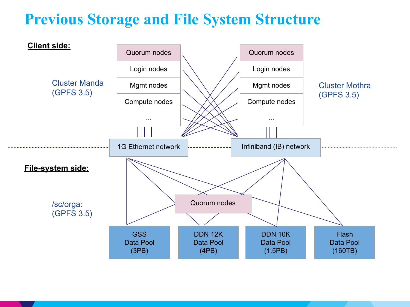# **Previous Storage and File System Structure**

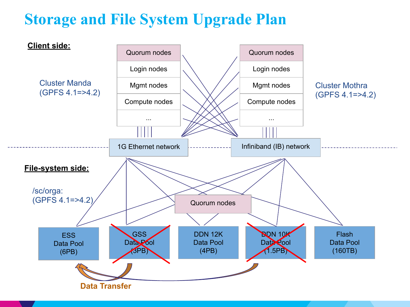# **Storage and File System Upgrade Plan**

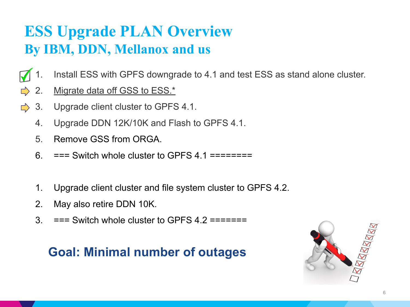### **ESS Upgrade PLAN Overview By IBM, DDN, Mellanox and us**

- Install ESS with GPFS downgrade to 4.1 and test ESS as stand alone cluster.
- $\Rightarrow$  2. Migrate data off GSS to ESS.\*
- $\Rightarrow$ 3. Upgrade client cluster to GPFS 4.1.
	- 4. Upgrade DDN 12K/10K and Flash to GPFS 4.1.
	- 5. Remove GSS from ORGA.
	- 6. === Switch whole cluster to GPFS 4.1 ========
	- 1. Upgrade client cluster and file system cluster to GPFS 4.2.
	- 2. May also retire DDN 10K.
	- $3.$  === Switch whole cluster to GPFS 4.2 =======

### **Goal: Minimal number of outages**

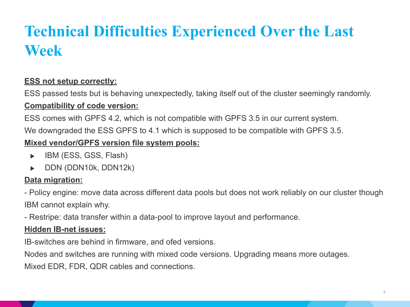# **Technical Difficulties Experienced Over the Last Week**

#### **ESS not setup correctly:**

ESS passed tests but is behaving unexpectedly, taking itself out of the cluster seemingly randomly.

#### **Compatibility of code version:**

ESS comes with GPFS 4.2, which is not compatible with GPFS 3.5 in our current system.

We downgraded the ESS GPFS to 4.1 which is supposed to be compatible with GPFS 3.5.

#### **Mixed vendor/GPFS version file system pools:**

- ▶ IBM (ESS, GSS, Flash)
- ▶ DDN (DDN10k, DDN12k)

#### **Data migration:**

- Policy engine: move data across different data pools but does not work reliably on our cluster though IBM cannot explain why.

- Restripe: data transfer within a data-pool to improve layout and performance.

#### **Hidden IB-net issues:**

IB-switches are behind in firmware, and ofed versions.

Nodes and switches are running with mixed code versions. Upgrading means more outages.

Mixed EDR, FDR, QDR cables and connections.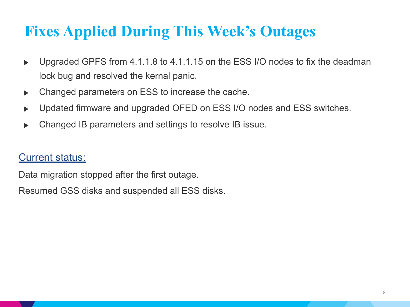# **Fixes Applied During This Week's Outages**

- ▶ Upgraded GPFS from 4.1.1.8 to 4.1.1.15 on the ESS I/O nodes to fix the deadman lock bug and resolved the kernal panic.
- ▶ Changed parameters on ESS to increase the cache.
- ▶ Updated firmware and upgraded OFED on ESS I/O nodes and ESS switches.
- Changed IB parameters and settings to resolve IB issue.

#### Current status:

Data migration stopped after the first outage.

Resumed GSS disks and suspended all ESS disks.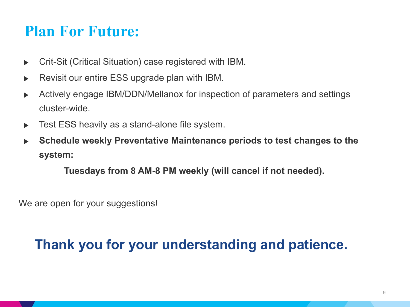### **Plan For Future:**

- ▶ Crit-Sit (Critical Situation) case registered with IBM.
- ▶ Revisit our entire ESS upgrade plan with IBM.
- ▶ Actively engage IBM/DDN/Mellanox for inspection of parameters and settings cluster-wide.
- ▶ Test ESS heavily as a stand-alone file system.
- **Schedule weekly Preventative Maintenance periods to test changes to the system:**

 **Tuesdays from 8 AM-8 PM weekly (will cancel if not needed).**

We are open for your suggestions!

### **Thank you for your understanding and patience.**